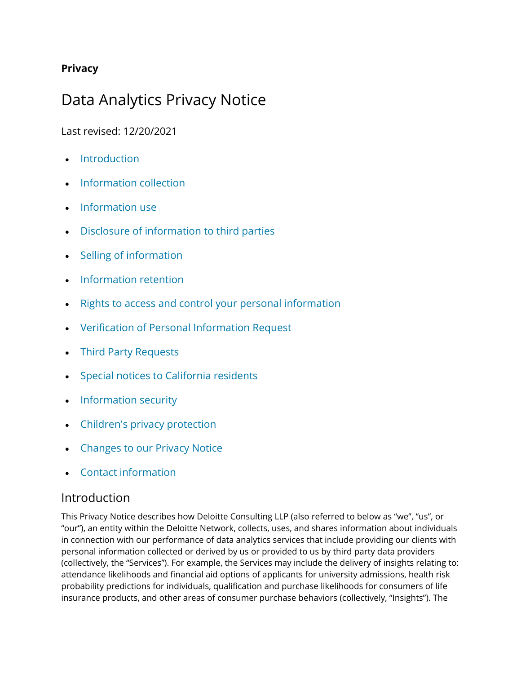#### **Privacy**

# Data Analytics Privacy Notice

Last revised: 12/20/2021

- [Introduction](https://www2.deloitte.com/us/en/legal/predictrisk-privacy-notice.html#1)
- [Information collection](https://www2.deloitte.com/us/en/legal/predictrisk-privacy-notice.html#2)
- [Information use](https://www2.deloitte.com/us/en/legal/predictrisk-privacy-notice.html#3)
- [Disclosure of information to third parties](https://www2.deloitte.com/us/en/legal/predictrisk-privacy-notice.html#4)
- [Selling of information](https://www2.deloitte.com/us/en/legal/predictrisk-privacy-notice.html#5)
- [Information retention](https://www2.deloitte.com/us/en/legal/predictrisk-privacy-notice.html#6)
- [Rights to access and control your personal information](https://www2.deloitte.com/us/en/legal/predictrisk-privacy-notice.html#7)
- [Verification of Personal Information Request](https://www2.deloitte.com/us/en/legal/predictrisk-privacy-notice.html#PIR)
- [Third Party Requests](https://www2.deloitte.com/us/en/legal/predictrisk-privacy-notice.html#TPR)
- [Special notices to California residents](https://www2.deloitte.com/us/en/legal/predictrisk-privacy-notice.html#8)
- [Information security](https://www2.deloitte.com/us/en/legal/predictrisk-privacy-notice.html#9)
- [Children's privacy protection](https://www2.deloitte.com/us/en/legal/predictrisk-privacy-notice.html#10)
- [Changes to our Privacy Notice](https://www2.deloitte.com/us/en/legal/predictrisk-privacy-notice.html#11)
- [Contact information](https://www2.deloitte.com/us/en/legal/predictrisk-privacy-notice.html#12)

#### Introduction

This Privacy Notice describes how Deloitte Consulting LLP (also referred to below as "we", "us", or "our"), an entity within the Deloitte Network, collects, uses, and shares information about individuals in connection with our performance of data analytics services that include providing our clients with personal information collected or derived by us or provided to us by third party data providers (collectively, the "Services"). For example, the Services may include the delivery of insights relating to: attendance likelihoods and financial aid options of applicants for university admissions, health risk probability predictions for individuals, qualification and purchase likelihoods for consumers of life insurance products, and other areas of consumer purchase behaviors (collectively, "Insights"). The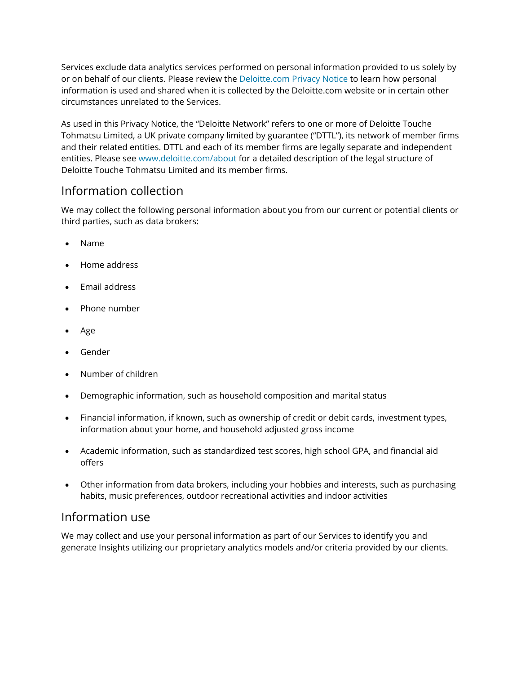Services exclude data analytics services performed on personal information provided to us solely by or on behalf of our clients. Please review the [Deloitte.com Privacy Notice](https://www2.deloitte.com/us/en/legal/privacy.html) to learn how personal information is used and shared when it is collected by the Deloitte.com website or in certain other circumstances unrelated to the Services.

As used in this Privacy Notice, the "Deloitte Network" refers to one or more of Deloitte Touche Tohmatsu Limited, a UK private company limited by guarantee ("DTTL"), its network of member firms and their related entities. DTTL and each of its member firms are legally separate and independent entities. Please see [www.deloitte.com/about](https://www2.deloitte.com/global/en/pages/about-deloitte/articles/about-the-network.html) for a detailed description of the legal structure of Deloitte Touche Tohmatsu Limited and its member firms.

## Information collection

We may collect the following personal information about you from our current or potential clients or third parties, such as data brokers:

- Name
- Home address
- Email address
- Phone number
- Age
- Gender
- Number of children
- Demographic information, such as household composition and marital status
- Financial information, if known, such as ownership of credit or debit cards, investment types, information about your home, and household adjusted gross income
- Academic information, such as standardized test scores, high school GPA, and financial aid offers
- Other information from data brokers, including your hobbies and interests, such as purchasing habits, music preferences, outdoor recreational activities and indoor activities

#### Information use

We may collect and use your personal information as part of our Services to identify you and generate Insights utilizing our proprietary analytics models and/or criteria provided by our clients.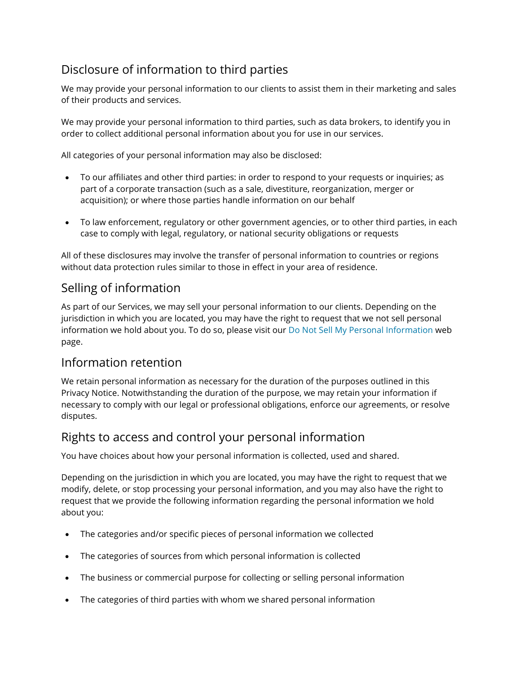# Disclosure of information to third parties

We may provide your personal information to our clients to assist them in their marketing and sales of their products and services.

We may provide your personal information to third parties, such as data brokers, to identify you in order to collect additional personal information about you for use in our services.

All categories of your personal information may also be disclosed:

- To our affiliates and other third parties: in order to respond to your requests or inquiries; as part of a corporate transaction (such as a sale, divestiture, reorganization, merger or acquisition); or where those parties handle information on our behalf
- To law enforcement, regulatory or other government agencies, or to other third parties, in each case to comply with legal, regulatory, or national security obligations or requests

All of these disclosures may involve the transfer of personal information to countries or regions without data protection rules similar to those in effect in your area of residence.

### Selling of information

As part of our Services, we may sell your personal information to our clients. Depending on the jurisdiction in which you are located, you may have the right to request that we not sell personal information we hold about you. To do so, please visit our [Do Not Sell My Personal Information](https://www2.deloitte.com/us/en/legal/do-not-sell-my-personal-information.html) web page.

#### Information retention

We retain personal information as necessary for the duration of the purposes outlined in this Privacy Notice. Notwithstanding the duration of the purpose, we may retain your information if necessary to comply with our legal or professional obligations, enforce our agreements, or resolve disputes.

### Rights to access and control your personal information

You have choices about how your personal information is collected, used and shared.

Depending on the jurisdiction in which you are located, you may have the right to request that we modify, delete, or stop processing your personal information, and you may also have the right to request that we provide the following information regarding the personal information we hold about you:

- The categories and/or specific pieces of personal information we collected
- The categories of sources from which personal information is collected
- The business or commercial purpose for collecting or selling personal information
- The categories of third parties with whom we shared personal information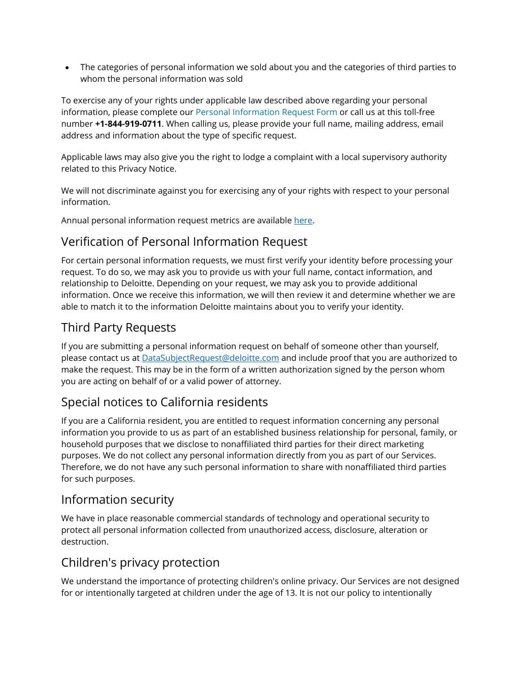• The categories of personal information we sold about you and the categories of third parties to whom the personal information was sold

To exercise any of your rights under applicable law described above regarding your personal information, please complete our [Personal Information Request Form](https://datasubject.deloitte.com/) or call us at this toll-free number **+1-844-919-0711**. When calling us, please provide your full name, mailing address, email address and information about the type of specific request.

Applicable laws may also give you the right to lodge a complaint with a local supervisory authority related to this Privacy Notice.

We will not discriminate against you for exercising any of your rights with respect to your personal information.

Annual personal information request metrics are available [here.](https://www2.deloitte.com/content/dam/Deloitte/us/Documents/about-deloitte/us-about-consumer-personal-information-request-metrics.pdf)

# Verification of Personal Information Request

For certain personal information requests, we must first verify your identity before processing your request. To do so, we may ask you to provide us with your full name, contact information, and relationship to Deloitte. Depending on your request, we may ask you to provide additional information. Once we receive this information, we will then review it and determine whether we are able to match it to the information Deloitte maintains about you to verify your identity.

## Third Party Requests

If you are submitting a personal information request on behalf of someone other than yourself, please contact us at **[DataSubjectRequest@deloitte.com](mailto:datasubjectrequest@deloitte.com)** and include proof that you are authorized to make the request. This may be in the form of a written authorization signed by the person whom you are acting on behalf of or a valid power of attorney.

# Special notices to California residents

If you are a California resident, you are entitled to request information concerning any personal information you provide to us as part of an established business relationship for personal, family, or household purposes that we disclose to nonaffiliated third parties for their direct marketing purposes. We do not collect any personal information directly from you as part of our Services. Therefore, we do not have any such personal information to share with nonaffiliated third parties for such purposes.

### Information security

We have in place reasonable commercial standards of technology and operational security to protect all personal information collected from unauthorized access, disclosure, alteration or destruction.

# Children's privacy protection

We understand the importance of protecting children's online privacy. Our Services are not designed for or intentionally targeted at children under the age of 13. It is not our policy to intentionally